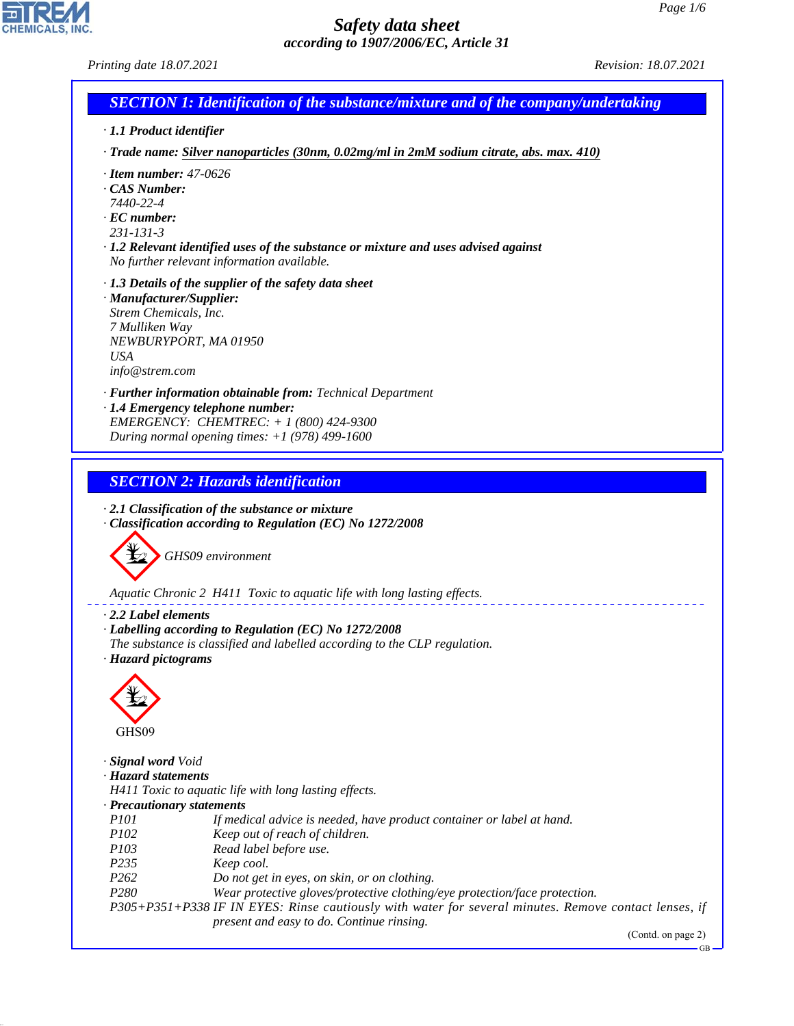*Printing date 18.07.2021 Revision: 18.07.2021*



*· 1.1 Product identifier*

*· Trade name: Silver nanoparticles (30nm, 0.02mg/ml in 2mM sodium citrate, abs. max. 410)*

- *· Item number: 47-0626*
- *· CAS Number:*
- *7440-22-4*
- *· EC number:*
- *231-131-3*

*· 1.2 Relevant identified uses of the substance or mixture and uses advised against No further relevant information available.*

- *· 1.3 Details of the supplier of the safety data sheet*
- *· Manufacturer/Supplier: Strem Chemicals, Inc. 7 Mulliken Way NEWBURYPORT, MA 01950 USA info@strem.com*

*· Further information obtainable from: Technical Department · 1.4 Emergency telephone number: EMERGENCY: CHEMTREC: + 1 (800) 424-9300*

*During normal opening times: +1 (978) 499-1600*

*SECTION 2: Hazards identification*

*· 2.1 Classification of the substance or mixture · Classification according to Regulation (EC) No 1272/2008*



*Aquatic Chronic 2 H411 Toxic to aquatic life with long lasting effects.*

*· 2.2 Label elements*

- *· Labelling according to Regulation (EC) No 1272/2008*
- *The substance is classified and labelled according to the CLP regulation.*
- *· Hazard pictograms*



44.1.1

*· Signal word Void*

*· Hazard statements*

*H411 Toxic to aquatic life with long lasting effects.*

- *· Precautionary statements*
- *P101 If medical advice is needed, have product container or label at hand.*
- *P102 Keep out of reach of children.*
- *P103 Read label before use.*
- *P235 Keep cool.*
- *P262 Do not get in eyes, on skin, or on clothing.*
- *P280 Wear protective gloves/protective clothing/eye protection/face protection.*

*P305+P351+P338 IF IN EYES: Rinse cautiously with water for several minutes. Remove contact lenses, if present and easy to do. Continue rinsing.*

(Contd. on page 2)

GB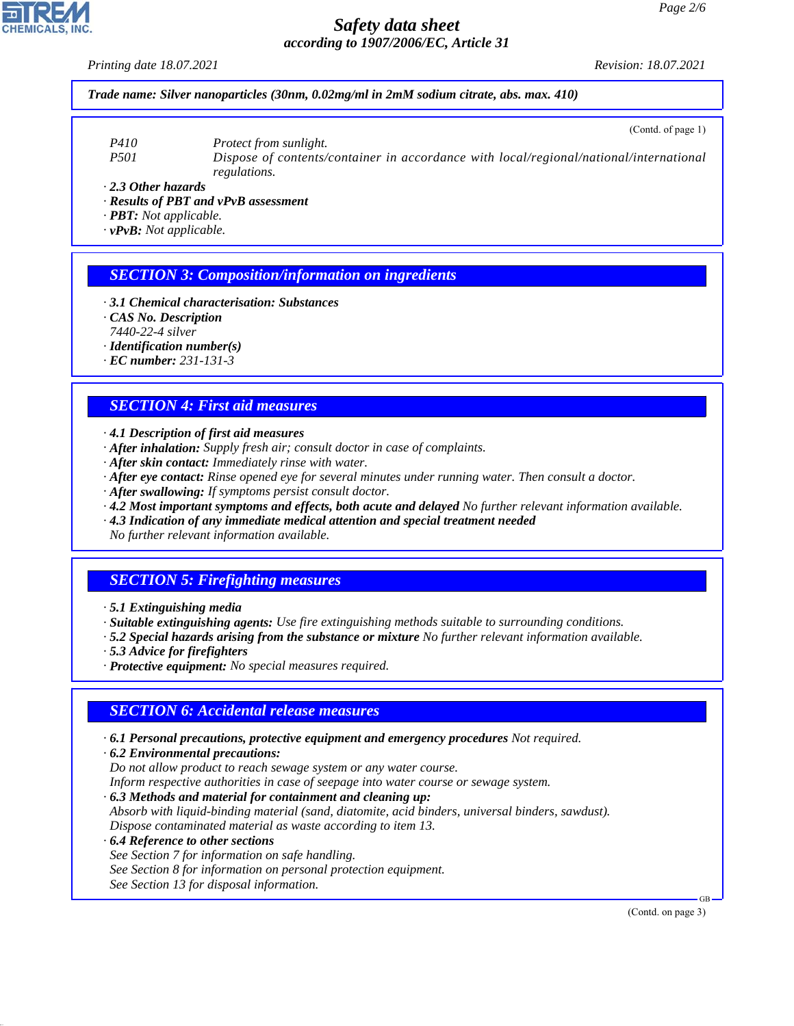*Printing date 18.07.2021 Revision: 18.07.2021*

*Trade name: Silver nanoparticles (30nm, 0.02mg/ml in 2mM sodium citrate, abs. max. 410)*

(Contd. of page 1)

*P410 Protect from sunlight. P501 Dispose of contents/container in accordance with local/regional/national/international regulations.*

*· 2.3 Other hazards*

*· Results of PBT and vPvB assessment*

*· PBT: Not applicable.*

*· vPvB: Not applicable.*

### *SECTION 3: Composition/information on ingredients*

*· 3.1 Chemical characterisation: Substances*

*· CAS No. Description*

*7440-22-4 silver*

*· Identification number(s)*

*· EC number: 231-131-3*

### *SECTION 4: First aid measures*

*· 4.1 Description of first aid measures*

- *· After inhalation: Supply fresh air; consult doctor in case of complaints.*
- *· After skin contact: Immediately rinse with water.*
- *· After eye contact: Rinse opened eye for several minutes under running water. Then consult a doctor.*
- *· After swallowing: If symptoms persist consult doctor.*
- *· 4.2 Most important symptoms and effects, both acute and delayed No further relevant information available.*
- *· 4.3 Indication of any immediate medical attention and special treatment needed*

*No further relevant information available.*

## *SECTION 5: Firefighting measures*

*· Suitable extinguishing agents: Use fire extinguishing methods suitable to surrounding conditions.*

- *· 5.2 Special hazards arising from the substance or mixture No further relevant information available.*
- *· 5.3 Advice for firefighters*
- *· Protective equipment: No special measures required.*

#### *SECTION 6: Accidental release measures*

*· 6.1 Personal precautions, protective equipment and emergency procedures Not required.*

*· 6.2 Environmental precautions: Do not allow product to reach sewage system or any water course. Inform respective authorities in case of seepage into water course or sewage system.*

*· 6.3 Methods and material for containment and cleaning up:*

*Absorb with liquid-binding material (sand, diatomite, acid binders, universal binders, sawdust). Dispose contaminated material as waste according to item 13.*

*· 6.4 Reference to other sections See Section 7 for information on safe handling. See Section 8 for information on personal protection equipment. See Section 13 for disposal information.*

(Contd. on page 3)

GB



44.1.1

*<sup>·</sup> 5.1 Extinguishing media*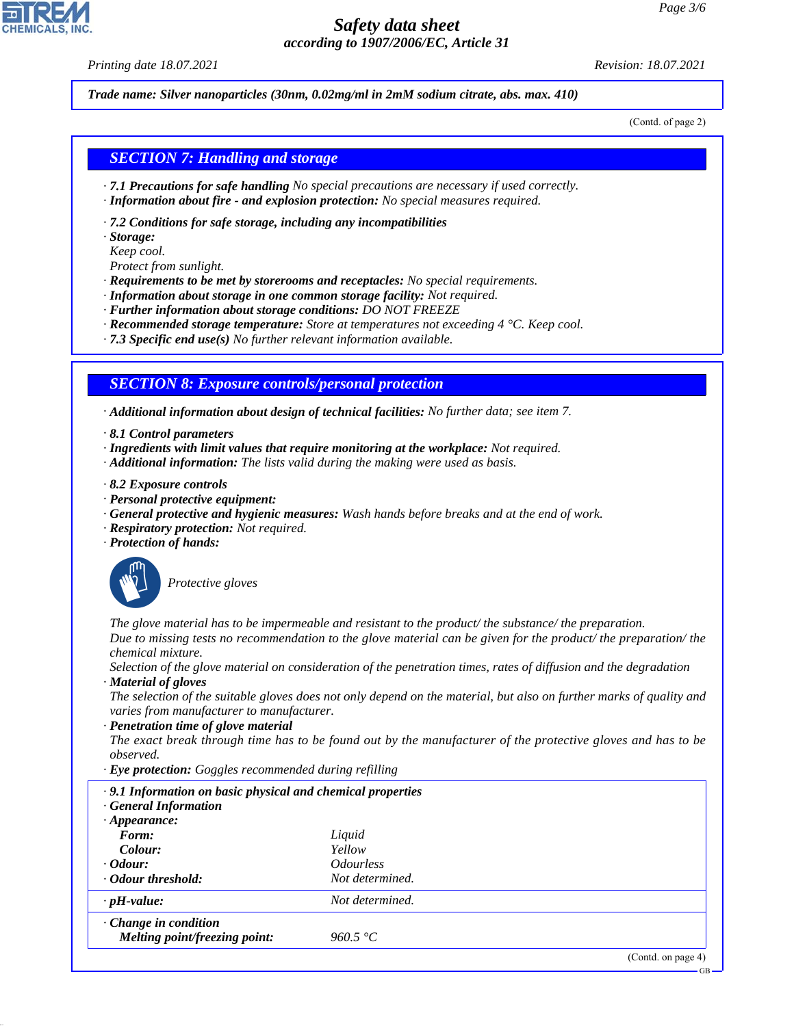*Printing date 18.07.2021 Revision: 18.07.2021*

*Trade name: Silver nanoparticles (30nm, 0.02mg/ml in 2mM sodium citrate, abs. max. 410)*

(Contd. of page 2)

#### *SECTION 7: Handling and storage*

- *· 7.1 Precautions for safe handling No special precautions are necessary if used correctly.*
- *· Information about fire and explosion protection: No special measures required.*
- *· 7.2 Conditions for safe storage, including any incompatibilities*
- *· Storage:*
- *Keep cool.*
- *Protect from sunlight.*
- *· Requirements to be met by storerooms and receptacles: No special requirements.*
- *· Information about storage in one common storage facility: Not required.*
- *· Further information about storage conditions: DO NOT FREEZE*
- *· Recommended storage temperature: Store at temperatures not exceeding 4 °C. Keep cool.*
- *· 7.3 Specific end use(s) No further relevant information available.*

### *SECTION 8: Exposure controls/personal protection*

*· Additional information about design of technical facilities: No further data; see item 7.*

- *· 8.1 Control parameters*
- *· Ingredients with limit values that require monitoring at the workplace: Not required.*
- *· Additional information: The lists valid during the making were used as basis.*
- *· 8.2 Exposure controls*
- *· Personal protective equipment:*
- *· General protective and hygienic measures: Wash hands before breaks and at the end of work.*
- *· Respiratory protection: Not required.*
- *· Protection of hands:*



44.1.1

\_S*Protective gloves*

*The glove material has to be impermeable and resistant to the product/ the substance/ the preparation. Due to missing tests no recommendation to the glove material can be given for the product/ the preparation/ the chemical mixture.*

*Selection of the glove material on consideration of the penetration times, rates of diffusion and the degradation · Material of gloves*

*The selection of the suitable gloves does not only depend on the material, but also on further marks of quality and varies from manufacturer to manufacturer.*

*· Penetration time of glove material*

*The exact break through time has to be found out by the manufacturer of the protective gloves and has to be observed.*

*· Eye protection: Goggles recommended during refilling*

| $\cdot$ 9.1 Information on basic physical and chemical properties<br><b>General Information</b> |                                |
|-------------------------------------------------------------------------------------------------|--------------------------------|
| $\cdot$ Appearance:                                                                             |                                |
| Form:                                                                                           | Liquid                         |
| Colour:                                                                                         | Yellow                         |
| $\cdot$ Odour:                                                                                  | <i><u><b>Odourless</b></u></i> |
| Odour threshold:                                                                                | Not determined.                |
| $\cdot$ pH-value:                                                                               | Not determined.                |
| $\cdot$ Change in condition                                                                     |                                |
| Melting point/freezing point:                                                                   | 960.5 °C                       |
|                                                                                                 |                                |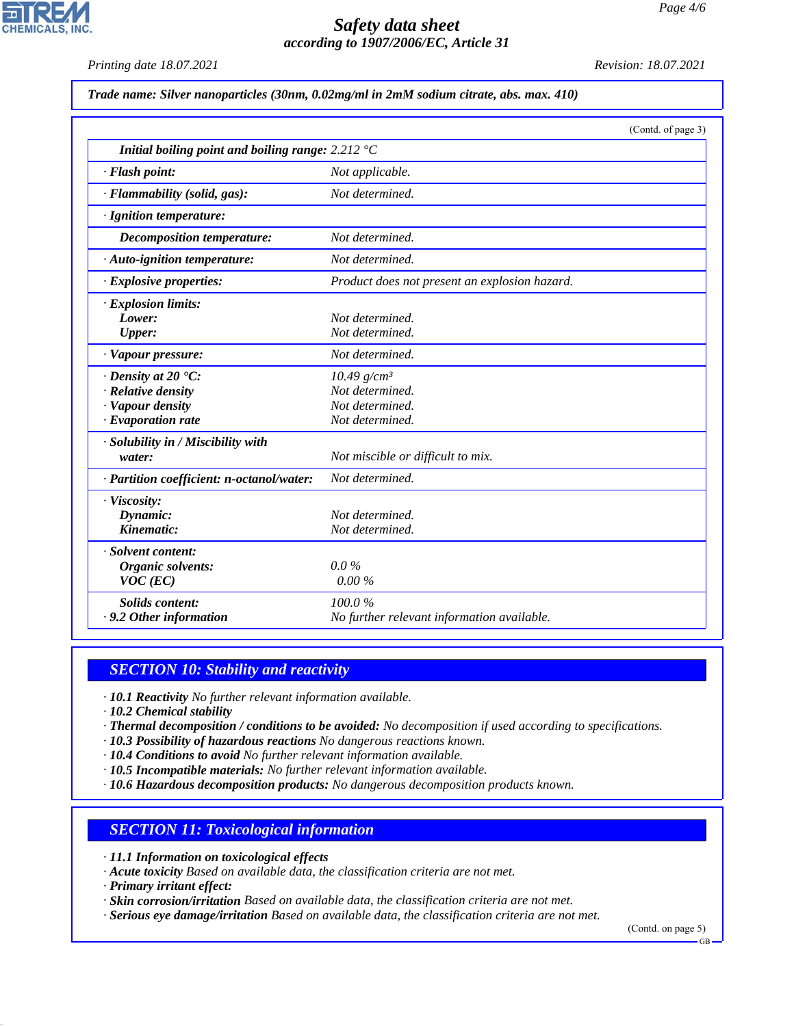*Printing date 18.07.2021 Revision: 18.07.2021*

**CHEMICALS, INC** 

*Trade name: Silver nanoparticles (30nm, 0.02mg/ml in 2mM sodium citrate, abs. max. 410)*

|                                                                    | (Contd. of page 3)                            |
|--------------------------------------------------------------------|-----------------------------------------------|
| Initial boiling point and boiling range: $2.212 \text{ }^{\circ}C$ |                                               |
| · Flash point:                                                     | Not applicable.                               |
| · Flammability (solid, gas):                                       | Not determined.                               |
| · Ignition temperature:                                            |                                               |
| Decomposition temperature:                                         | Not determined.                               |
| $\cdot$ Auto-ignition temperature:                                 | Not determined.                               |
| $\cdot$ Explosive properties:                                      | Product does not present an explosion hazard. |
| · Explosion limits:                                                |                                               |
| Lower:                                                             | Not determined.                               |
| Upper:                                                             | Not determined.                               |
| · Vapour pressure:                                                 | Not determined.                               |
| $\cdot$ Density at 20 $\textdegree$ C:                             | $10.49$ g/cm <sup>3</sup>                     |
| · Relative density                                                 | Not determined.                               |
| · Vapour density                                                   | Not determined.                               |
| $\cdot$ Evaporation rate                                           | Not determined.                               |
| · Solubility in / Miscibility with                                 |                                               |
| water:                                                             | Not miscible or difficult to mix.             |
| · Partition coefficient: n-octanol/water:                          | Not determined.                               |
| · Viscosity:                                                       |                                               |
| Dynamic:                                                           | Not determined.                               |
| Kinematic:                                                         | Not determined.                               |
| · Solvent content:                                                 |                                               |
| Organic solvents:                                                  | $0.0\%$                                       |
| $VOC$ (EC)                                                         | 0.00%                                         |
| <b>Solids content:</b>                                             | 100.0%                                        |
| · 9.2 Other information                                            | No further relevant information available.    |

# *SECTION 10: Stability and reactivity*

*· 10.1 Reactivity No further relevant information available.*

*· 10.2 Chemical stability*

*· Thermal decomposition / conditions to be avoided: No decomposition if used according to specifications.*

- *· 10.3 Possibility of hazardous reactions No dangerous reactions known.*
- *· 10.4 Conditions to avoid No further relevant information available.*

*· 10.5 Incompatible materials: No further relevant information available.*

*· 10.6 Hazardous decomposition products: No dangerous decomposition products known.*

## *SECTION 11: Toxicological information*

*· 11.1 Information on toxicological effects*

*· Acute toxicity Based on available data, the classification criteria are not met.*

*· Primary irritant effect:*

44.1.1

*· Skin corrosion/irritation Based on available data, the classification criteria are not met.*

*· Serious eye damage/irritation Based on available data, the classification criteria are not met.*

(Contd. on page 5)

GB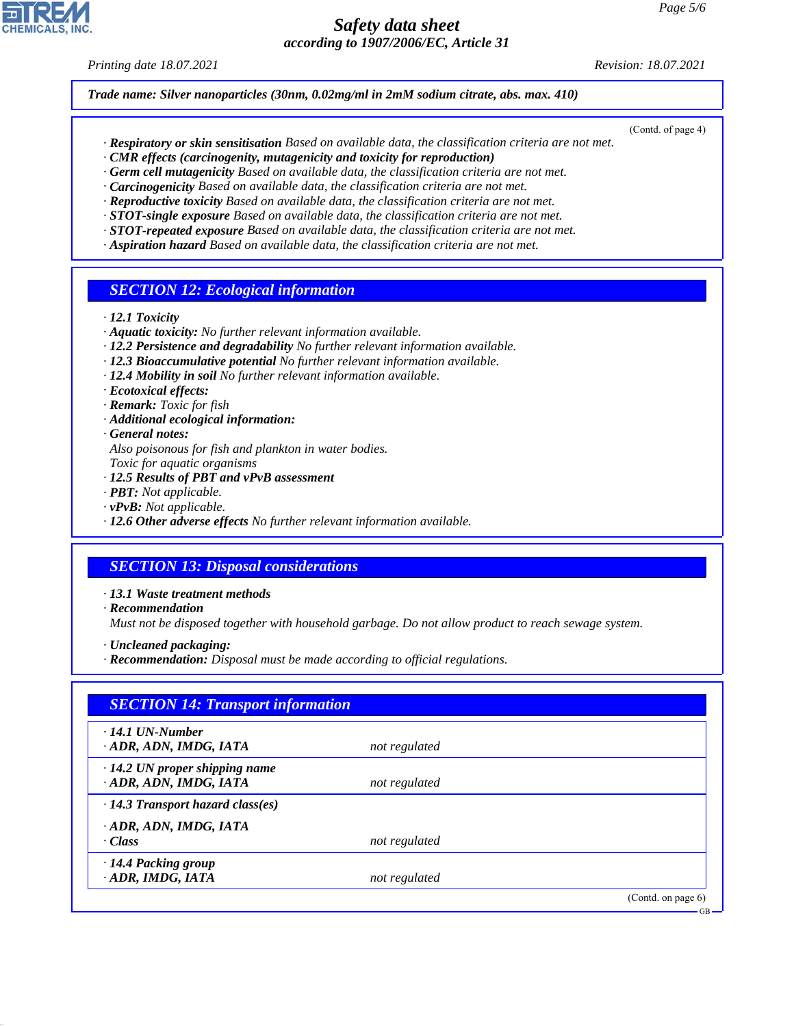*Printing date 18.07.2021 Revision: 18.07.2021*

*Trade name: Silver nanoparticles (30nm, 0.02mg/ml in 2mM sodium citrate, abs. max. 410)*

- (Contd. of page 4)
- *· Respiratory or skin sensitisation Based on available data, the classification criteria are not met.*
- *· CMR effects (carcinogenity, mutagenicity and toxicity for reproduction)*
- *· Germ cell mutagenicity Based on available data, the classification criteria are not met.*
- *· Carcinogenicity Based on available data, the classification criteria are not met.*
- *· Reproductive toxicity Based on available data, the classification criteria are not met. · STOT-single exposure Based on available data, the classification criteria are not met.*
- *· STOT-repeated exposure Based on available data, the classification criteria are not met.*
- *· Aspiration hazard Based on available data, the classification criteria are not met.*

#### *SECTION 12: Ecological information*

- *· 12.1 Toxicity*
- *· Aquatic toxicity: No further relevant information available.*
- *· 12.2 Persistence and degradability No further relevant information available.*
- *· 12.3 Bioaccumulative potential No further relevant information available.*
- *· 12.4 Mobility in soil No further relevant information available.*
- *· Ecotoxical effects:*
- *· Remark: Toxic for fish*
- *· Additional ecological information:*
- *· General notes:*
- *Also poisonous for fish and plankton in water bodies.*
- *Toxic for aquatic organisms*
- *· 12.5 Results of PBT and vPvB assessment*
- *· PBT: Not applicable.*
- *· vPvB: Not applicable.*
- *· 12.6 Other adverse effects No further relevant information available.*

#### *SECTION 13: Disposal considerations*

- *· 13.1 Waste treatment methods*
- *· Recommendation*

44.1.1

*Must not be disposed together with household garbage. Do not allow product to reach sewage system.*

- *· Uncleaned packaging:*
- *· Recommendation: Disposal must be made according to official regulations.*

| $\cdot$ 14.1 UN-Number                  |               |  |
|-----------------------------------------|---------------|--|
| ADR, ADN, IMDG, IATA                    | not regulated |  |
| $\cdot$ 14.2 UN proper shipping name    |               |  |
| · ADR, ADN, IMDG, IATA                  | not regulated |  |
| $\cdot$ 14.3 Transport hazard class(es) |               |  |
| ADR, ADN, IMDG, IATA                    |               |  |
| · Class                                 | not regulated |  |
| · 14.4 Packing group                    |               |  |
| · ADR, IMDG, IATA                       | not regulated |  |